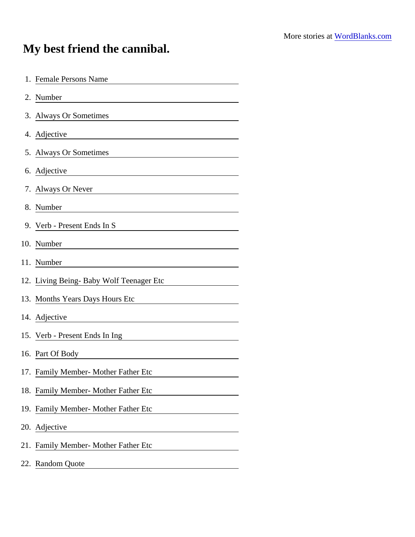## My best friend the cannibal.

| 1. Female Persons Name<br><u> 1989 - John Stein, mars and de Branch and de Branch and de Branch and de Branch and de Branch and de Branch a</u> |
|-------------------------------------------------------------------------------------------------------------------------------------------------|
| 2. Number<br><u> 1980 - Jan Samuel Barbara, martin di sebagai personal di sebagai personal di sebagai personal di sebagai per</u>               |
| 3. Always Or Sometimes                                                                                                                          |
| 4. Adjective                                                                                                                                    |
| 5. Always Or Sometimes<br><u> 1989 - Johann John Stone, meil in der Stone besteht der Stone besteht der Stone besteht der Stone besteht der</u> |
| 6. Adjective <u>Constantine Communication</u>                                                                                                   |
| 7. Always Or Never                                                                                                                              |
| 8. Number                                                                                                                                       |
| 9. Verb - Present Ends In S                                                                                                                     |
| 10. Number<br><u> 1980 - Jan Stein Stein Stein Stein Stein Stein Stein Stein Stein Stein Stein Stein Stein Stein Stein Stein S</u>              |
| 11. Number                                                                                                                                      |
| 12. Living Being- Baby Wolf Teenager Etc                                                                                                        |
| 13. Months Years Days Hours Etc                                                                                                                 |
| 14. Adjective                                                                                                                                   |
| 15. Verb - Present Ends In Ing                                                                                                                  |
| 16. Part Of Body                                                                                                                                |
| 17. Family Member- Mother Father Etc                                                                                                            |
| 18. Family Member- Mother Father Etc                                                                                                            |
| 19. Family Member- Mother Father Etc                                                                                                            |
| 20. Adjective                                                                                                                                   |
| 21. Family Member- Mother Father Etc                                                                                                            |
| 22. Random Quote                                                                                                                                |
|                                                                                                                                                 |